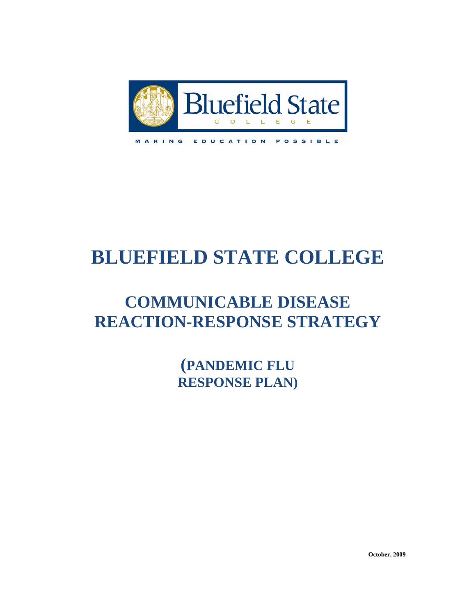

MAKING

EDUCATION POSSIBLE

# **BLUEFIELD STATE COLLEGE**

# **COMMUNICABLE DISEASE REACTION-RESPONSE STRATEGY**

**(PANDEMIC FLU RESPONSE PLAN)**

**October, 2009**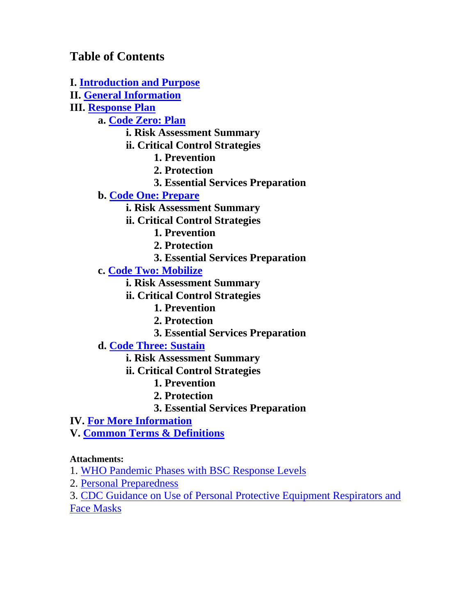**Table of Contents** 

**I. [Introduction and Purpose](#page-2-0) II. [General Information](#page-2-0) III. [Response Plan](#page-3-0) a. [Code Zero: Plan](#page-4-0) i. Risk Assessment Summary ii. Critical Control Strategies 1. Prevention 2. Protection 3. Essential Services Preparation b. [Code One: Prepare](#page-9-0) i. Risk Assessment Summary ii. Critical Control Strategies 1. Prevention 2. Protection 3. Essential Services Preparation c. [Code Two: Mobilize](#page-14-0) i. Risk Assessment Summary ii. Critical Control Strategies 1. Prevention 2. Protection 3. Essential Services Preparation d. [Code Three: Sustain](#page-17-0) i. Risk Assessment Summary ii. Critical Control Strategies 1. Prevention 2. Protection 3. Essential Services Preparation IV. [For More Information](#page-18-0) V. [Common Terms & Definitions](#page-18-0) Attachments:**  1. [WHO Pandemic Phases with BSC Response Levels](#page-20-0) 2. [Personal Preparedness](#page-23-0)  3. [CDC Guidance on Use of Personal Protective Equipment Respirators and](#page-26-0) 

[Face Masks](#page-26-0)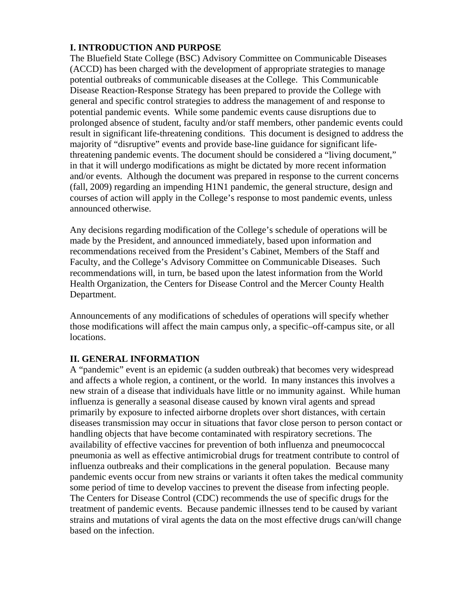### <span id="page-2-0"></span>**I. INTRODUCTION AND PURPOSE**

The Bluefield State College (BSC) Advisory Committee on Communicable Diseases (ACCD) has been charged with the development of appropriate strategies to manage potential outbreaks of communicable diseases at the College. This Communicable Disease Reaction-Response Strategy has been prepared to provide the College with general and specific control strategies to address the management of and response to potential pandemic events. While some pandemic events cause disruptions due to prolonged absence of student, faculty and/or staff members, other pandemic events could result in significant life-threatening conditions. This document is designed to address the majority of "disruptive" events and provide base-line guidance for significant lifethreatening pandemic events. The document should be considered a "living document," in that it will undergo modifications as might be dictated by more recent information and/or events. Although the document was prepared in response to the current concerns (fall, 2009) regarding an impending H1N1 pandemic, the general structure, design and courses of action will apply in the College's response to most pandemic events, unless announced otherwise.

Any decisions regarding modification of the College's schedule of operations will be made by the President, and announced immediately, based upon information and recommendations received from the President's Cabinet, Members of the Staff and Faculty, and the College's Advisory Committee on Communicable Diseases. Such recommendations will, in turn, be based upon the latest information from the World Health Organization, the Centers for Disease Control and the Mercer County Health Department.

Announcements of any modifications of schedules of operations will specify whether those modifications will affect the main campus only, a specific–off-campus site, or all locations.

### **II. GENERAL INFORMATION**

A "pandemic" event is an epidemic (a sudden outbreak) that becomes very widespread and affects a whole region, a continent, or the world. In many instances this involves a new strain of a disease that individuals have little or no immunity against. While human influenza is generally a seasonal disease caused by known viral agents and spread primarily by exposure to infected airborne droplets over short distances, with certain diseases transmission may occur in situations that favor close person to person contact or handling objects that have become contaminated with respiratory secretions. The availability of effective vaccines for prevention of both influenza and pneumococcal pneumonia as well as effective antimicrobial drugs for treatment contribute to control of influenza outbreaks and their complications in the general population. Because many pandemic events occur from new strains or variants it often takes the medical community some period of time to develop vaccines to prevent the disease from infecting people. The Centers for Disease Control (CDC) recommends the use of specific drugs for the treatment of pandemic events. Because pandemic illnesses tend to be caused by variant strains and mutations of viral agents the data on the most effective drugs can/will change based on the infection.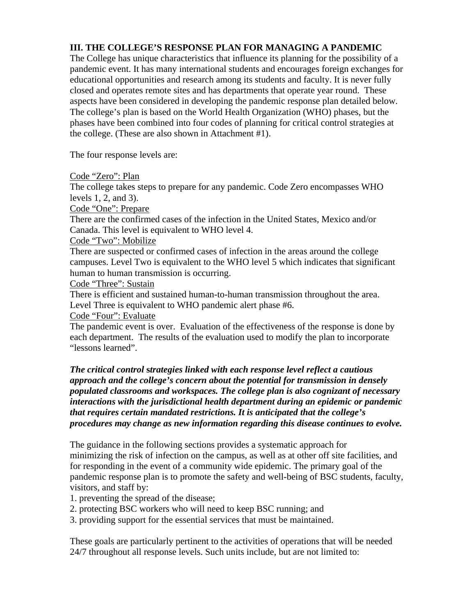### <span id="page-3-0"></span>**III. THE COLLEGE'S RESPONSE PLAN FOR MANAGING A PANDEMIC**

The College has unique characteristics that influence its planning for the possibility of a pandemic event. It has many international students and encourages foreign exchanges for educational opportunities and research among its students and faculty. It is never fully closed and operates remote sites and has departments that operate year round. These aspects have been considered in developing the pandemic response plan detailed below. The college's plan is based on the World Health Organization (WHO) phases, but the phases have been combined into four codes of planning for critical control strategies at the college. (These are also shown in Attachment #1).

The four response levels are:

Code "Zero": Plan

The college takes steps to prepare for any pandemic. Code Zero encompasses WHO levels 1, 2, and 3).

Code "One": Prepare

There are the confirmed cases of the infection in the United States, Mexico and/or Canada. This level is equivalent to WHO level 4.

Code "Two": Mobilize

There are suspected or confirmed cases of infection in the areas around the college campuses. Level Two is equivalent to the WHO level 5 which indicates that significant human to human transmission is occurring.

Code "Three": Sustain

There is efficient and sustained human-to-human transmission throughout the area. Level Three is equivalent to WHO pandemic alert phase #6.

Code "Four": Evaluate

The pandemic event is over. Evaluation of the effectiveness of the response is done by each department. The results of the evaluation used to modify the plan to incorporate "lessons learned".

*The critical control* **s***trategies linked with each response level reflect a cautious approach and the college's concern about the potential for transmission in densely populated classrooms and workspaces. The college plan is also cognizant of necessary interactions with the jurisdictional health department during an epidemic or pandemic that requires certain mandated restrictions. It is anticipated that the college's procedures may change as new information regarding this disease continues to evolve.* 

The guidance in the following sections provides a systematic approach for minimizing the risk of infection on the campus, as well as at other off site facilities, and for responding in the event of a community wide epidemic. The primary goal of the pandemic response plan is to promote the safety and well-being of BSC students, faculty, visitors, and staff by:

- 1. preventing the spread of the disease;
- 2. protecting BSC workers who will need to keep BSC running; and

3. providing support for the essential services that must be maintained.

These goals are particularly pertinent to the activities of operations that will be needed 24/7 throughout all response levels. Such units include, but are not limited to: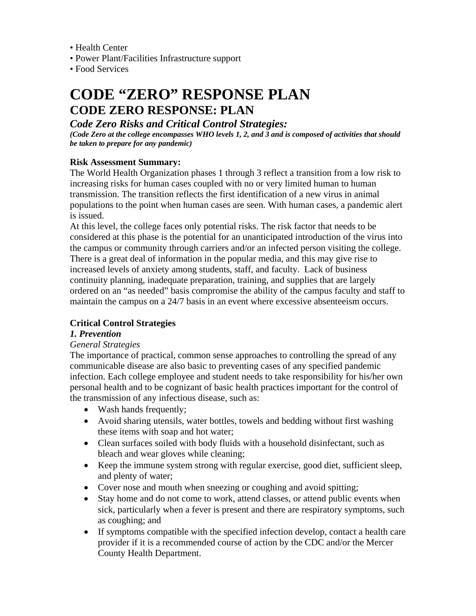- <span id="page-4-0"></span>• Health Center
- Power Plant/Facilities Infrastructure support
- Food Services

## **CODE "ZERO" RESPONSE PLAN CODE ZERO RESPONSE: PLAN**

### *Code Zero Risks and Critical Control Strategies:*

*(Code Zero at the college encompasses WHO levels 1, 2, and 3 and is composed of activities that should be taken to prepare for any pandemic)* 

### **Risk Assessment Summary:**

The World Health Organization phases 1 through 3 reflect a transition from a low risk to increasing risks for human cases coupled with no or very limited human to human transmission. The transition reflects the first identification of a new virus in animal populations to the point when human cases are seen. With human cases, a pandemic alert is issued.

At this level, the college faces only potential risks. The risk factor that needs to be considered at this phase is the potential for an unanticipated introduction of the virus into the campus or community through carriers and/or an infected person visiting the college. There is a great deal of information in the popular media, and this may give rise to increased levels of anxiety among students, staff, and faculty. Lack of business continuity planning, inadequate preparation, training, and supplies that are largely ordered on an "as needed" basis compromise the ability of the campus faculty and staff to maintain the campus on a 24/7 basis in an event where excessive absenteeism occurs.

### **Critical Control Strategies**

### *1. Prevention*

#### *General Strategies*

The importance of practical, common sense approaches to controlling the spread of any communicable disease are also basic to preventing cases of any specified pandemic infection. Each college employee and student needs to take responsibility for his/her own personal health and to be cognizant of basic health practices important for the control of the transmission of any infectious disease, such as:

- Wash hands frequently;
- Avoid sharing utensils, water bottles, towels and bedding without first washing these items with soap and hot water;
- Clean surfaces soiled with body fluids with a household disinfectant, such as bleach and wear gloves while cleaning;
- Keep the immune system strong with regular exercise, good diet, sufficient sleep, and plenty of water;
- Cover nose and mouth when sneezing or coughing and avoid spitting;
- Stay home and do not come to work, attend classes, or attend public events when sick, particularly when a fever is present and there are respiratory symptoms, such as coughing; and
- If symptoms compatible with the specified infection develop, contact a health care provider if it is a recommended course of action by the CDC and/or the Mercer County Health Department.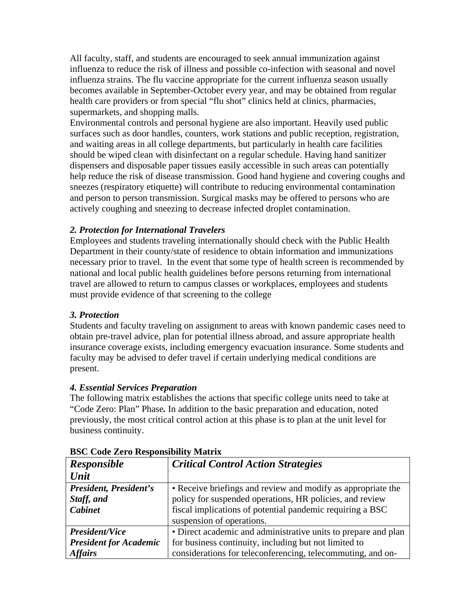All faculty, staff, and students are encouraged to seek annual immunization against influenza to reduce the risk of illness and possible co-infection with seasonal and novel influenza strains. The flu vaccine appropriate for the current influenza season usually becomes available in September-October every year, and may be obtained from regular health care providers or from special "flu shot" clinics held at clinics, pharmacies, supermarkets, and shopping malls.

Environmental controls and personal hygiene are also important. Heavily used public surfaces such as door handles, counters, work stations and public reception, registration, and waiting areas in all college departments, but particularly in health care facilities should be wiped clean with disinfectant on a regular schedule. Having hand sanitizer dispensers and disposable paper tissues easily accessible in such areas can potentially help reduce the risk of disease transmission. Good hand hygiene and covering coughs and sneezes (respiratory etiquette) will contribute to reducing environmental contamination and person to person transmission. Surgical masks may be offered to persons who are actively coughing and sneezing to decrease infected droplet contamination.

#### *2. Protection for International Travelers*

Employees and students traveling internationally should check with the Public Health Department in their county/state of residence to obtain information and immunizations necessary prior to travel. In the event that some type of health screen is recommended by national and local public health guidelines before persons returning from international travel are allowed to return to campus classes or workplaces, employees and students must provide evidence of that screening to the college

#### *3. Protection*

Students and faculty traveling on assignment to areas with known pandemic cases need to obtain pre-travel advice, plan for potential illness abroad, and assure appropriate health insurance coverage exists, including emergency evacuation insurance. Some students and faculty may be advised to defer travel if certain underlying medical conditions are present.

#### *4. Essential Services Preparation*

The following matrix establishes the actions that specific college units need to take at "Code Zero: Plan" Phase*.* In addition to the basic preparation and education, noted previously, the most critical control action at this phase is to plan at the unit level for business continuity.

| DSC Couc Let 0 Responsibility Matrix |                                                                |  |  |  |
|--------------------------------------|----------------------------------------------------------------|--|--|--|
| <b>Responsible</b>                   | <b>Critical Control Action Strategies</b>                      |  |  |  |
| Unit                                 |                                                                |  |  |  |
| President, President's               | • Receive briefings and review and modify as appropriate the   |  |  |  |
| Staff, and                           | policy for suspended operations, HR policies, and review       |  |  |  |
| <b>Cabinet</b>                       | fiscal implications of potential pandemic requiring a BSC      |  |  |  |
|                                      | suspension of operations.                                      |  |  |  |
| <b>President/Vice</b>                | • Direct academic and administrative units to prepare and plan |  |  |  |
| <b>President for Academic</b>        | for business continuity, including but not limited to          |  |  |  |
| <b>Affairs</b>                       | considerations for teleconferencing, telecommuting, and on-    |  |  |  |

#### **BSC Code Zero Responsibility Matrix**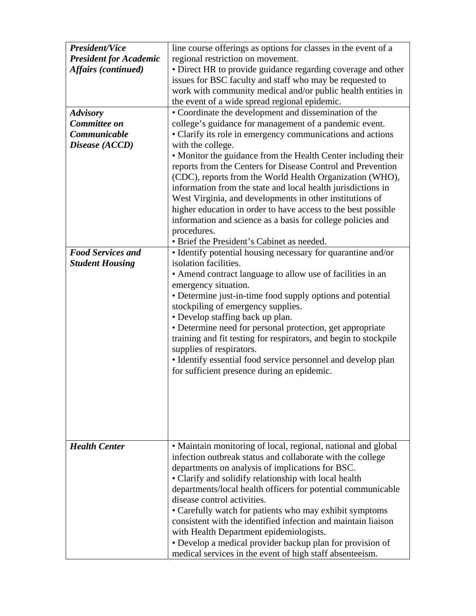| <b>President/Vice</b>         | line course offerings as options for classes in the event of a   |  |  |  |  |
|-------------------------------|------------------------------------------------------------------|--|--|--|--|
| <b>President for Academic</b> | regional restriction on movement.                                |  |  |  |  |
| <b>Affairs</b> (continued)    | • Direct HR to provide guidance regarding coverage and other     |  |  |  |  |
|                               | issues for BSC faculty and staff who may be requested to         |  |  |  |  |
|                               | work with community medical and/or public health entities in     |  |  |  |  |
|                               | the event of a wide spread regional epidemic.                    |  |  |  |  |
| <b>Advisory</b>               | • Coordinate the development and dissemination of the            |  |  |  |  |
| Committee on                  | college's guidance for management of a pandemic event.           |  |  |  |  |
| Communicable                  | • Clarify its role in emergency communications and actions       |  |  |  |  |
| Disease (ACCD)                | with the college.                                                |  |  |  |  |
|                               | • Monitor the guidance from the Health Center including their    |  |  |  |  |
|                               | reports from the Centers for Disease Control and Prevention      |  |  |  |  |
|                               | (CDC), reports from the World Health Organization (WHO),         |  |  |  |  |
|                               | information from the state and local health jurisdictions in     |  |  |  |  |
|                               | West Virginia, and developments in other institutions of         |  |  |  |  |
|                               | higher education in order to have access to the best possible    |  |  |  |  |
|                               | information and science as a basis for college policies and      |  |  |  |  |
|                               | procedures.                                                      |  |  |  |  |
|                               | • Brief the President's Cabinet as needed.                       |  |  |  |  |
| <b>Food Services and</b>      | • Identify potential housing necessary for quarantine and/or     |  |  |  |  |
| <b>Student Housing</b>        | isolation facilities.                                            |  |  |  |  |
|                               | • Amend contract language to allow use of facilities in an       |  |  |  |  |
|                               | emergency situation.                                             |  |  |  |  |
|                               | • Determine just-in-time food supply options and potential       |  |  |  |  |
|                               | stockpiling of emergency supplies.                               |  |  |  |  |
|                               | • Develop staffing back up plan.                                 |  |  |  |  |
|                               | • Determine need for personal protection, get appropriate        |  |  |  |  |
|                               |                                                                  |  |  |  |  |
|                               | training and fit testing for respirators, and begin to stockpile |  |  |  |  |
|                               | supplies of respirators.                                         |  |  |  |  |
|                               | · Identify essential food service personnel and develop plan     |  |  |  |  |
|                               | for sufficient presence during an epidemic.                      |  |  |  |  |
|                               |                                                                  |  |  |  |  |
|                               |                                                                  |  |  |  |  |
|                               |                                                                  |  |  |  |  |
|                               |                                                                  |  |  |  |  |
|                               |                                                                  |  |  |  |  |
|                               |                                                                  |  |  |  |  |
| <b>Health Center</b>          | • Maintain monitoring of local, regional, national and global    |  |  |  |  |
|                               | infection outbreak status and collaborate with the college       |  |  |  |  |
|                               | departments on analysis of implications for BSC.                 |  |  |  |  |
|                               | • Clarify and solidify relationship with local health            |  |  |  |  |
|                               | departments/local health officers for potential communicable     |  |  |  |  |
|                               | disease control activities.                                      |  |  |  |  |
|                               | • Carefully watch for patients who may exhibit symptoms          |  |  |  |  |
|                               | consistent with the identified infection and maintain liaison    |  |  |  |  |
|                               | with Health Department epidemiologists.                          |  |  |  |  |
|                               | • Develop a medical provider backup plan for provision of        |  |  |  |  |
|                               | medical services in the event of high staff absenteeism.         |  |  |  |  |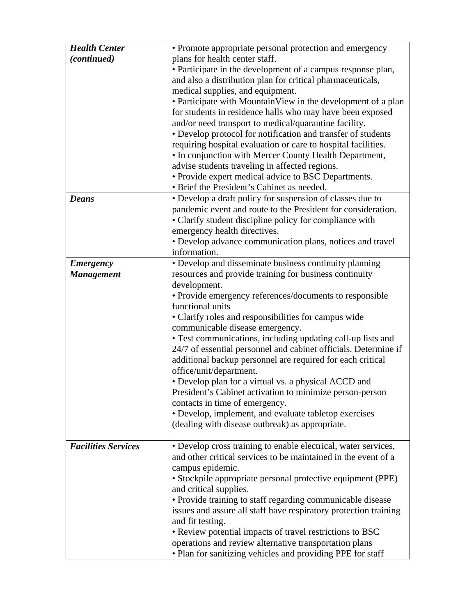| <b>Health Center</b>       | • Promote appropriate personal protection and emergency                                 |  |  |  |  |
|----------------------------|-----------------------------------------------------------------------------------------|--|--|--|--|
| (continued)                | plans for health center staff.                                                          |  |  |  |  |
|                            | • Participate in the development of a campus response plan,                             |  |  |  |  |
|                            | and also a distribution plan for critical pharmaceuticals,                              |  |  |  |  |
|                            | medical supplies, and equipment.                                                        |  |  |  |  |
|                            | • Participate with Mountain View in the development of a plan                           |  |  |  |  |
|                            | for students in residence halls who may have been exposed                               |  |  |  |  |
|                            | and/or need transport to medical/quarantine facility.                                   |  |  |  |  |
|                            | • Develop protocol for notification and transfer of students                            |  |  |  |  |
|                            | requiring hospital evaluation or care to hospital facilities.                           |  |  |  |  |
|                            | • In conjunction with Mercer County Health Department,                                  |  |  |  |  |
|                            | advise students traveling in affected regions.                                          |  |  |  |  |
|                            | • Provide expert medical advice to BSC Departments.                                     |  |  |  |  |
|                            | • Brief the President's Cabinet as needed.                                              |  |  |  |  |
| <b>Deans</b>               | • Develop a draft policy for suspension of classes due to                               |  |  |  |  |
|                            | pandemic event and route to the President for consideration.                            |  |  |  |  |
|                            | • Clarify student discipline policy for compliance with                                 |  |  |  |  |
|                            | emergency health directives.                                                            |  |  |  |  |
|                            | • Develop advance communication plans, notices and travel                               |  |  |  |  |
|                            | information.                                                                            |  |  |  |  |
| <b>Emergency</b>           | • Develop and disseminate business continuity planning                                  |  |  |  |  |
| <b>Management</b>          | resources and provide training for business continuity                                  |  |  |  |  |
|                            | development.                                                                            |  |  |  |  |
|                            | • Provide emergency references/documents to responsible<br>functional units             |  |  |  |  |
|                            |                                                                                         |  |  |  |  |
|                            | • Clarify roles and responsibilities for campus wide<br>communicable disease emergency. |  |  |  |  |
|                            | • Test communications, including updating call-up lists and                             |  |  |  |  |
|                            | 24/7 of essential personnel and cabinet officials. Determine if                         |  |  |  |  |
|                            | additional backup personnel are required for each critical                              |  |  |  |  |
|                            | office/unit/department.                                                                 |  |  |  |  |
|                            | • Develop plan for a virtual vs. a physical ACCD and                                    |  |  |  |  |
|                            | President's Cabinet activation to minimize person-person                                |  |  |  |  |
|                            | contacts in time of emergency.                                                          |  |  |  |  |
|                            | • Develop, implement, and evaluate tabletop exercises                                   |  |  |  |  |
|                            | (dealing with disease outbreak) as appropriate.                                         |  |  |  |  |
|                            |                                                                                         |  |  |  |  |
| <b>Facilities Services</b> | · Develop cross training to enable electrical, water services,                          |  |  |  |  |
|                            | and other critical services to be maintained in the event of a                          |  |  |  |  |
|                            | campus epidemic.                                                                        |  |  |  |  |
|                            | • Stockpile appropriate personal protective equipment (PPE)                             |  |  |  |  |
|                            | and critical supplies.                                                                  |  |  |  |  |
|                            | • Provide training to staff regarding communicable disease                              |  |  |  |  |
|                            | issues and assure all staff have respiratory protection training                        |  |  |  |  |
|                            | and fit testing.                                                                        |  |  |  |  |
|                            | • Review potential impacts of travel restrictions to BSC                                |  |  |  |  |
|                            | operations and review alternative transportation plans                                  |  |  |  |  |
|                            | • Plan for sanitizing vehicles and providing PPE for staff                              |  |  |  |  |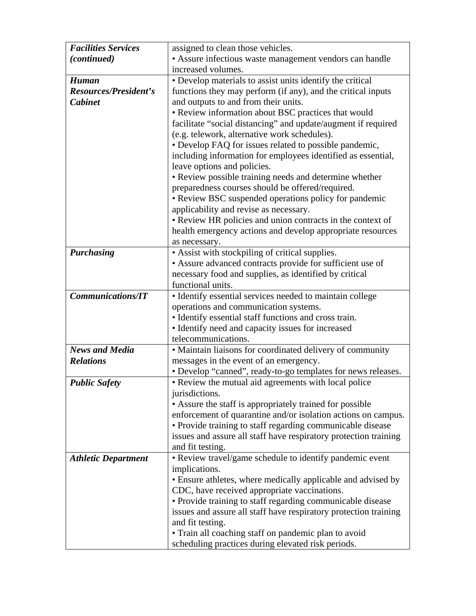| <b>Facilities Services</b> | assigned to clean those vehicles.                                |  |  |  |  |
|----------------------------|------------------------------------------------------------------|--|--|--|--|
| (continued)                | • Assure infectious waste management vendors can handle          |  |  |  |  |
|                            | increased volumes.                                               |  |  |  |  |
| <b>Human</b>               | • Develop materials to assist units identify the critical        |  |  |  |  |
| Resources/President's      | functions they may perform (if any), and the critical inputs     |  |  |  |  |
| <b>Cabinet</b>             | and outputs to and from their units.                             |  |  |  |  |
|                            | • Review information about BSC practices that would              |  |  |  |  |
|                            | facilitate "social distancing" and update/augment if required    |  |  |  |  |
|                            | (e.g. telework, alternative work schedules).                     |  |  |  |  |
|                            | • Develop FAQ for issues related to possible pandemic,           |  |  |  |  |
|                            | including information for employees identified as essential,     |  |  |  |  |
|                            | leave options and policies.                                      |  |  |  |  |
|                            | • Review possible training needs and determine whether           |  |  |  |  |
|                            | preparedness courses should be offered/required.                 |  |  |  |  |
|                            | • Review BSC suspended operations policy for pandemic            |  |  |  |  |
|                            | applicability and revise as necessary.                           |  |  |  |  |
|                            | • Review HR policies and union contracts in the context of       |  |  |  |  |
|                            | health emergency actions and develop appropriate resources       |  |  |  |  |
|                            | as necessary.                                                    |  |  |  |  |
| <b>Purchasing</b>          | • Assist with stockpiling of critical supplies.                  |  |  |  |  |
|                            | • Assure advanced contracts provide for sufficient use of        |  |  |  |  |
|                            | necessary food and supplies, as identified by critical           |  |  |  |  |
|                            | functional units.                                                |  |  |  |  |
| <b>Communications/IT</b>   | • Identify essential services needed to maintain college         |  |  |  |  |
|                            | operations and communication systems.                            |  |  |  |  |
|                            | • Identify essential staff functions and cross train.            |  |  |  |  |
|                            | • Identify need and capacity issues for increased                |  |  |  |  |
|                            | telecommunications.                                              |  |  |  |  |
| <b>News and Media</b>      | • Maintain liaisons for coordinated delivery of community        |  |  |  |  |
| <b>Relations</b>           | messages in the event of an emergency.                           |  |  |  |  |
|                            | • Develop "canned", ready-to-go templates for news releases.     |  |  |  |  |
| <b>Public Safety</b>       | • Review the mutual aid agreements with local police             |  |  |  |  |
|                            | jurisdictions.                                                   |  |  |  |  |
|                            | • Assure the staff is appropriately trained for possible         |  |  |  |  |
|                            | enforcement of quarantine and/or isolation actions on campus.    |  |  |  |  |
|                            | • Provide training to staff regarding communicable disease       |  |  |  |  |
|                            | issues and assure all staff have respiratory protection training |  |  |  |  |
|                            | and fit testing.                                                 |  |  |  |  |
| <b>Athletic Department</b> | • Review travel/game schedule to identify pandemic event         |  |  |  |  |
|                            | implications.                                                    |  |  |  |  |
|                            | • Ensure athletes, where medically applicable and advised by     |  |  |  |  |
|                            | CDC, have received appropriate vaccinations.                     |  |  |  |  |
|                            | • Provide training to staff regarding communicable disease       |  |  |  |  |
|                            | issues and assure all staff have respiratory protection training |  |  |  |  |
|                            | and fit testing.                                                 |  |  |  |  |
|                            | • Train all coaching staff on pandemic plan to avoid             |  |  |  |  |
|                            | scheduling practices during elevated risk periods.               |  |  |  |  |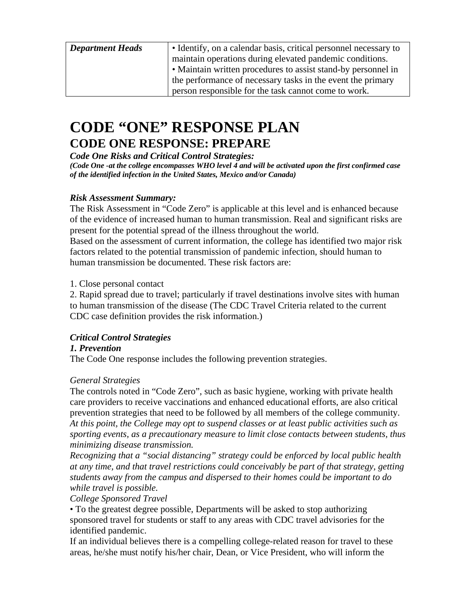<span id="page-9-0"></span>

| <b>Department Heads</b> | • Identify, on a calendar basis, critical personnel necessary to |  |  |  |  |
|-------------------------|------------------------------------------------------------------|--|--|--|--|
|                         | maintain operations during elevated pandemic conditions.         |  |  |  |  |
|                         | • Maintain written procedures to assist stand-by personnel in    |  |  |  |  |
|                         | the performance of necessary tasks in the event the primary      |  |  |  |  |
|                         | person responsible for the task cannot come to work.             |  |  |  |  |

### **CODE "ONE" RESPONSE PLAN CODE ONE RESPONSE: PREPARE**

*Code One Risks and Critical Control Strategies: (Code One -at the college encompasses WHO level 4 and will be activated upon the first confirmed case* 

*of the identified infection in the United States, Mexico and/or Canada)* 

### *Risk Assessment Summary:*

The Risk Assessment in "Code Zero" is applicable at this level and is enhanced because of the evidence of increased human to human transmission. Real and significant risks are present for the potential spread of the illness throughout the world.

Based on the assessment of current information, the college has identified two major risk factors related to the potential transmission of pandemic infection, should human to human transmission be documented. These risk factors are:

1. Close personal contact

2. Rapid spread due to travel; particularly if travel destinations involve sites with human to human transmission of the disease (The CDC Travel Criteria related to the current CDC case definition provides the risk information.)

### *Critical Control Strategies*

### *1. Prevention*

The Code One response includes the following prevention strategies.

### *General Strategies*

The controls noted in "Code Zero", such as basic hygiene, working with private health care providers to receive vaccinations and enhanced educational efforts, are also critical prevention strategies that need to be followed by all members of the college community. *At this point, the College may opt to suspend classes or at least public activities such as sporting events, as a precautionary measure to limit close contacts between students, thus minimizing disease transmission.* 

*Recognizing that a "social distancing" strategy could be enforced by local public health at any time, and that travel restrictions could conceivably be part of that strategy, getting students away from the campus and dispersed to their homes could be important to do while travel is possible.* 

*College Sponsored Travel* 

• To the greatest degree possible, Departments will be asked to stop authorizing sponsored travel for students or staff to any areas with CDC travel advisories for the identified pandemic.

If an individual believes there is a compelling college-related reason for travel to these areas, he/she must notify his/her chair, Dean, or Vice President, who will inform the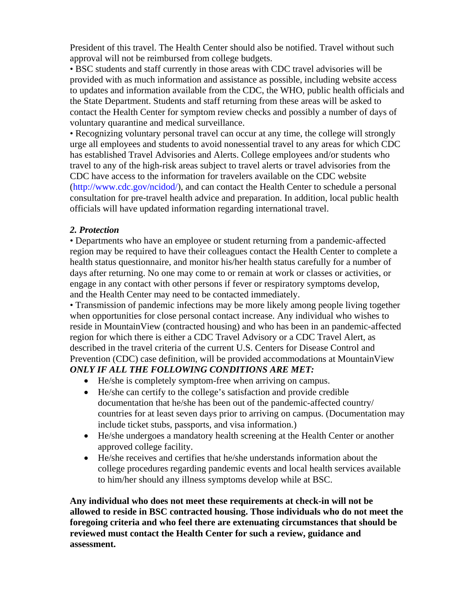President of this travel. The Health Center should also be notified. Travel without such approval will not be reimbursed from college budgets.

• BSC students and staff currently in those areas with CDC travel advisories will be provided with as much information and assistance as possible, including website access to updates and information available from the CDC, the WHO, public health officials and the State Department. Students and staff returning from these areas will be asked to contact the Health Center for symptom review checks and possibly a number of days of voluntary quarantine and medical surveillance.

• Recognizing voluntary personal travel can occur at any time, the college will strongly urge all employees and students to avoid nonessential travel to any areas for which CDC has established Travel Advisories and Alerts. College employees and/or students who travel to any of the high-risk areas subject to travel alerts or travel advisories from the CDC have access to the information for travelers available on the CDC website (http://www.cdc.gov/ncidod/), and can contact the Health Center to schedule a personal consultation for pre-travel health advice and preparation. In addition, local public health officials will have updated information regarding international travel.

### *2. Protection*

• Departments who have an employee or student returning from a pandemic-affected region may be required to have their colleagues contact the Health Center to complete a health status questionnaire, and monitor his/her health status carefully for a number of days after returning. No one may come to or remain at work or classes or activities, or engage in any contact with other persons if fever or respiratory symptoms develop, and the Health Center may need to be contacted immediately.

• Transmission of pandemic infections may be more likely among people living together when opportunities for close personal contact increase. Any individual who wishes to reside in MountainView (contracted housing) and who has been in an pandemic-affected region for which there is either a CDC Travel Advisory or a CDC Travel Alert, as described in the travel criteria of the current U.S. Centers for Disease Control and Prevention (CDC) case definition, will be provided accommodations at MountainView *ONLY IF ALL THE FOLLOWING CONDITIONS ARE MET:* 

- He/she is completely symptom-free when arriving on campus.
- He/she can certify to the college's satisfaction and provide credible documentation that he/she has been out of the pandemic-affected country/ countries for at least seven days prior to arriving on campus. (Documentation may include ticket stubs, passports, and visa information.)
- He/she undergoes a mandatory health screening at the Health Center or another approved college facility.
- He/she receives and certifies that he/she understands information about the college procedures regarding pandemic events and local health services available to him/her should any illness symptoms develop while at BSC.

**Any individual who does not meet these requirements at check-in will not be allowed to reside in BSC contracted housing. Those individuals who do not meet the foregoing criteria and who feel there are extenuating circumstances that should be reviewed must contact the Health Center for such a review, guidance and assessment.**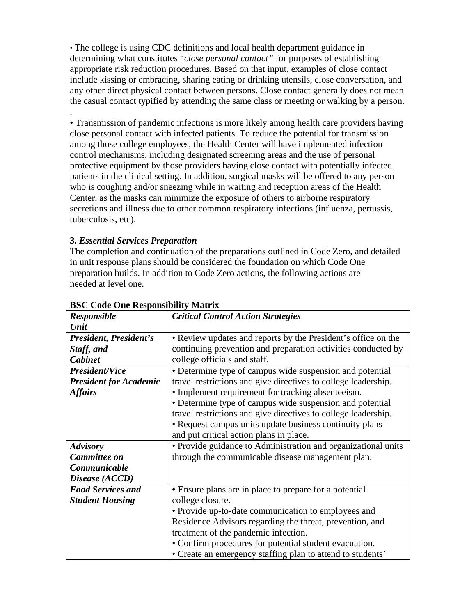• The college is using CDC definitions and local health department guidance in determining what constitutes "*close personal contact"* for purposes of establishing appropriate risk reduction procedures. Based on that input, examples of close contact include kissing or embracing, sharing eating or drinking utensils, close conversation, and any other direct physical contact between persons. Close contact generally does not mean the casual contact typified by attending the same class or meeting or walking by a person.

• Transmission of pandemic infections is more likely among health care providers having close personal contact with infected patients. To reduce the potential for transmission among those college employees, the Health Center will have implemented infection control mechanisms, including designated screening areas and the use of personal protective equipment by those providers having close contact with potentially infected patients in the clinical setting. In addition, surgical masks will be offered to any person who is coughing and/or sneezing while in waiting and reception areas of the Health Center, as the masks can minimize the exposure of others to airborne respiratory secretions and illness due to other common respiratory infections (influenza, pertussis, tuberculosis, etc).

### **3***. Essential Services Preparation*

.

The completion and continuation of the preparations outlined in Code Zero, and detailed in unit response plans should be considered the foundation on which Code One preparation builds. In addition to Code Zero actions, the following actions are needed at level one.

| Responsible                   | <b>Critical Control Action Strategies</b>                      |  |  |  |
|-------------------------------|----------------------------------------------------------------|--|--|--|
| <b>Unit</b>                   |                                                                |  |  |  |
| President, President's        | • Review updates and reports by the President's office on the  |  |  |  |
| Staff, and                    | continuing prevention and preparation activities conducted by  |  |  |  |
| Cabinet                       | college officials and staff.                                   |  |  |  |
| <b>President/Vice</b>         | • Determine type of campus wide suspension and potential       |  |  |  |
| <b>President for Academic</b> | travel restrictions and give directives to college leadership. |  |  |  |
| <b>Affairs</b>                | • Implement requirement for tracking absenteeism.              |  |  |  |
|                               | • Determine type of campus wide suspension and potential       |  |  |  |
|                               | travel restrictions and give directives to college leadership. |  |  |  |
|                               | • Request campus units update business continuity plans        |  |  |  |
|                               | and put critical action plans in place.                        |  |  |  |
| <b>Advisory</b>               | • Provide guidance to Administration and organizational units  |  |  |  |
| Committee on                  | through the communicable disease management plan.              |  |  |  |
| Communicable                  |                                                                |  |  |  |
| Disease (ACCD)                |                                                                |  |  |  |
| <b>Food Services and</b>      | • Ensure plans are in place to prepare for a potential         |  |  |  |
| <b>Student Housing</b>        | college closure.                                               |  |  |  |
|                               | • Provide up-to-date communication to employees and            |  |  |  |
|                               | Residence Advisors regarding the threat, prevention, and       |  |  |  |
|                               | treatment of the pandemic infection.                           |  |  |  |
|                               | • Confirm procedures for potential student evacuation.         |  |  |  |
|                               | • Create an emergency staffing plan to attend to students'     |  |  |  |

### **BSC Code One Responsibility Matrix**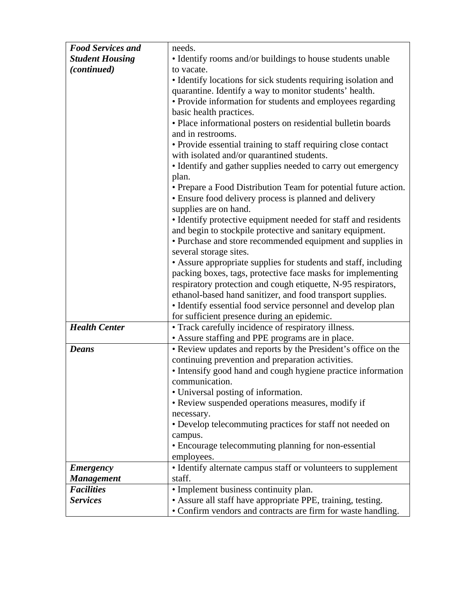| <b>Food Services and</b> | needs.                                                                                |  |  |  |  |  |
|--------------------------|---------------------------------------------------------------------------------------|--|--|--|--|--|
| <b>Student Housing</b>   | • Identify rooms and/or buildings to house students unable                            |  |  |  |  |  |
| (continued)              | to vacate.                                                                            |  |  |  |  |  |
|                          | • Identify locations for sick students requiring isolation and                        |  |  |  |  |  |
|                          | quarantine. Identify a way to monitor students' health.                               |  |  |  |  |  |
|                          | • Provide information for students and employees regarding<br>basic health practices. |  |  |  |  |  |
|                          | • Place informational posters on residential bulletin boards                          |  |  |  |  |  |
|                          | and in restrooms.                                                                     |  |  |  |  |  |
|                          | • Provide essential training to staff requiring close contact                         |  |  |  |  |  |
|                          | with isolated and/or quarantined students.                                            |  |  |  |  |  |
|                          | • Identify and gather supplies needed to carry out emergency<br>plan.                 |  |  |  |  |  |
|                          | • Prepare a Food Distribution Team for potential future action.                       |  |  |  |  |  |
|                          | • Ensure food delivery process is planned and delivery                                |  |  |  |  |  |
|                          | supplies are on hand.                                                                 |  |  |  |  |  |
|                          | • Identify protective equipment needed for staff and residents                        |  |  |  |  |  |
|                          | and begin to stockpile protective and sanitary equipment.                             |  |  |  |  |  |
|                          | • Purchase and store recommended equipment and supplies in<br>several storage sites.  |  |  |  |  |  |
|                          | • Assure appropriate supplies for students and staff, including                       |  |  |  |  |  |
|                          | packing boxes, tags, protective face masks for implementing                           |  |  |  |  |  |
|                          | respiratory protection and cough etiquette, N-95 respirators,                         |  |  |  |  |  |
|                          | ethanol-based hand sanitizer, and food transport supplies.                            |  |  |  |  |  |
|                          | • Identify essential food service personnel and develop plan                          |  |  |  |  |  |
|                          | for sufficient presence during an epidemic.                                           |  |  |  |  |  |
| <b>Health Center</b>     | • Track carefully incidence of respiratory illness.                                   |  |  |  |  |  |
|                          | • Assure staffing and PPE programs are in place.                                      |  |  |  |  |  |
| <b>Deans</b>             | • Review updates and reports by the President's office on the                         |  |  |  |  |  |
|                          | continuing prevention and preparation activities.                                     |  |  |  |  |  |
|                          | • Intensify good hand and cough hygiene practice information                          |  |  |  |  |  |
|                          | communication.                                                                        |  |  |  |  |  |
|                          | • Universal posting of information.                                                   |  |  |  |  |  |
|                          | • Review suspended operations measures, modify if                                     |  |  |  |  |  |
|                          | necessary.                                                                            |  |  |  |  |  |
|                          | • Develop telecommuting practices for staff not needed on                             |  |  |  |  |  |
|                          | campus.                                                                               |  |  |  |  |  |
|                          | • Encourage telecommuting planning for non-essential                                  |  |  |  |  |  |
|                          | employees.                                                                            |  |  |  |  |  |
| <b>Emergency</b>         | • Identify alternate campus staff or volunteers to supplement                         |  |  |  |  |  |
| <b>Management</b>        | staff.                                                                                |  |  |  |  |  |
| <b>Facilities</b>        | • Implement business continuity plan.                                                 |  |  |  |  |  |
| <b>Services</b>          | • Assure all staff have appropriate PPE, training, testing.                           |  |  |  |  |  |
|                          | • Confirm vendors and contracts are firm for waste handling.                          |  |  |  |  |  |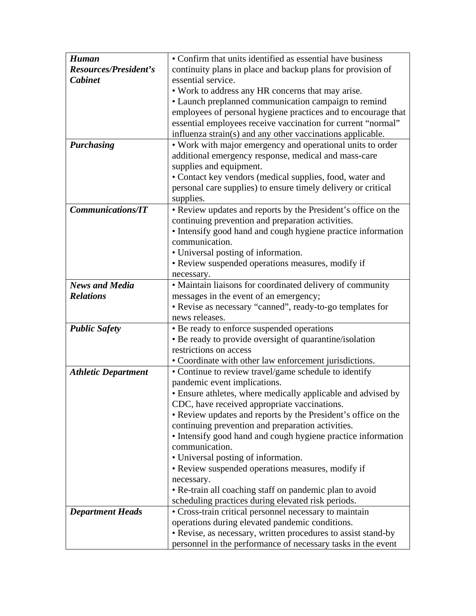| <b>Human</b>               | • Confirm that units identified as essential have business    |  |  |  |
|----------------------------|---------------------------------------------------------------|--|--|--|
| Resources/President's      | continuity plans in place and backup plans for provision of   |  |  |  |
| <b>Cabinet</b>             | essential service.                                            |  |  |  |
|                            | • Work to address any HR concerns that may arise.             |  |  |  |
|                            | • Launch preplanned communication campaign to remind          |  |  |  |
|                            | employees of personal hygiene practices and to encourage that |  |  |  |
|                            | essential employees receive vaccination for current "normal"  |  |  |  |
|                            | influenza strain(s) and any other vaccinations applicable.    |  |  |  |
| Purchasing                 | • Work with major emergency and operational units to order    |  |  |  |
|                            | additional emergency response, medical and mass-care          |  |  |  |
|                            | supplies and equipment.                                       |  |  |  |
|                            | • Contact key vendors (medical supplies, food, water and      |  |  |  |
|                            | personal care supplies) to ensure timely delivery or critical |  |  |  |
|                            | supplies.                                                     |  |  |  |
| <b>Communications/IT</b>   | • Review updates and reports by the President's office on the |  |  |  |
|                            | continuing prevention and preparation activities.             |  |  |  |
|                            | • Intensify good hand and cough hygiene practice information  |  |  |  |
|                            | communication.                                                |  |  |  |
|                            | • Universal posting of information.                           |  |  |  |
|                            | • Review suspended operations measures, modify if             |  |  |  |
|                            | necessary.                                                    |  |  |  |
| <b>News and Media</b>      | • Maintain liaisons for coordinated delivery of community     |  |  |  |
| <b>Relations</b>           | messages in the event of an emergency;                        |  |  |  |
|                            | • Revise as necessary "canned", ready-to-go templates for     |  |  |  |
|                            | news releases.                                                |  |  |  |
| <b>Public Safety</b>       | • Be ready to enforce suspended operations                    |  |  |  |
|                            | • Be ready to provide oversight of quarantine/isolation       |  |  |  |
|                            | restrictions on access                                        |  |  |  |
|                            | • Coordinate with other law enforcement jurisdictions.        |  |  |  |
| <b>Athletic Department</b> | • Continue to review travel/game schedule to identify         |  |  |  |
|                            | pandemic event implications.                                  |  |  |  |
|                            | • Ensure athletes, where medically applicable and advised by  |  |  |  |
|                            | CDC, have received appropriate vaccinations.                  |  |  |  |
|                            | • Review updates and reports by the President's office on the |  |  |  |
|                            | continuing prevention and preparation activities.             |  |  |  |
|                            | • Intensify good hand and cough hygiene practice information  |  |  |  |
|                            | communication.                                                |  |  |  |
|                            | • Universal posting of information.                           |  |  |  |
|                            | • Review suspended operations measures, modify if             |  |  |  |
|                            | necessary.                                                    |  |  |  |
|                            | • Re-train all coaching staff on pandemic plan to avoid       |  |  |  |
|                            | scheduling practices during elevated risk periods.            |  |  |  |
| <b>Department Heads</b>    | • Cross-train critical personnel necessary to maintain        |  |  |  |
|                            | operations during elevated pandemic conditions.               |  |  |  |
|                            | • Revise, as necessary, written procedures to assist stand-by |  |  |  |
|                            | personnel in the performance of necessary tasks in the event  |  |  |  |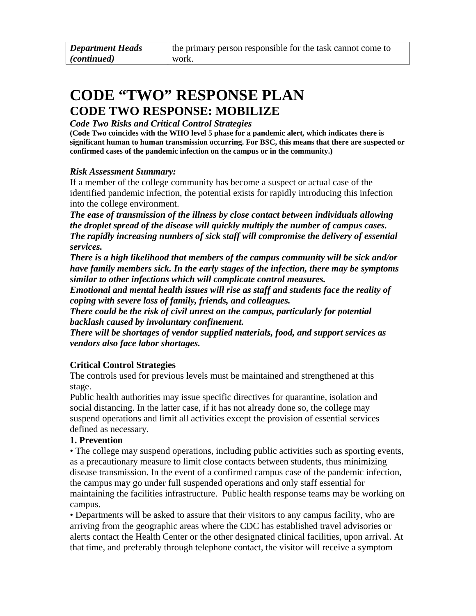### <span id="page-14-0"></span>**CODE "TWO" RESPONSE PLAN CODE TWO RESPONSE: MOBILIZE**

### *Code Two Risks and Critical Control Strategies*

**(Code Two coincides with the WHO level 5 phase for a pandemic alert, which indicates there is significant human to human transmission occurring. For BSC, this means that there are suspected or confirmed cases of the pandemic infection on the campus or in the community.)** 

### *Risk Assessment Summary:*

If a member of the college community has become a suspect or actual case of the identified pandemic infection, the potential exists for rapidly introducing this infection into the college environment.

*The ease of transmission of the illness by close contact between individuals allowing the droplet spread of the disease will quickly multiply the number of campus cases. The rapidly increasing numbers of sick staff will compromise the delivery of essential services.* 

*There is a high likelihood that members of the campus community will be sick and/or have family members sick. In the early stages of the infection, there may be symptoms similar to other infections which will complicate control measures.* 

*Emotional and mental health issues will rise as staff and students face the reality of coping with severe loss of family, friends, and colleagues.* 

*There could be the risk of civil unrest on the campus, particularly for potential backlash caused by involuntary confinement.* 

*There will be shortages of vendor supplied materials, food, and support services as vendors also face labor shortages.* 

### **Critical Control Strategies**

The controls used for previous levels must be maintained and strengthened at this stage.

Public health authorities may issue specific directives for quarantine, isolation and social distancing. In the latter case, if it has not already done so, the college may suspend operations and limit all activities except the provision of essential services defined as necessary.

### **1. Prevention**

• The college may suspend operations, including public activities such as sporting events, as a precautionary measure to limit close contacts between students, thus minimizing disease transmission. In the event of a confirmed campus case of the pandemic infection, the campus may go under full suspended operations and only staff essential for maintaining the facilities infrastructure. Public health response teams may be working on campus.

• Departments will be asked to assure that their visitors to any campus facility, who are arriving from the geographic areas where the CDC has established travel advisories or alerts contact the Health Center or the other designated clinical facilities, upon arrival. At that time, and preferably through telephone contact, the visitor will receive a symptom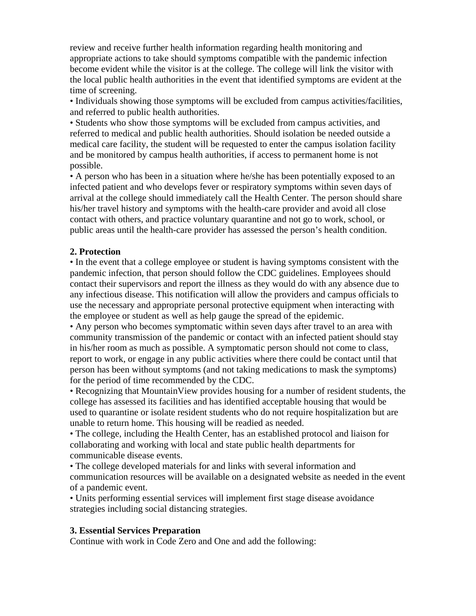review and receive further health information regarding health monitoring and appropriate actions to take should symptoms compatible with the pandemic infection become evident while the visitor is at the college. The college will link the visitor with the local public health authorities in the event that identified symptoms are evident at the time of screening.

• Individuals showing those symptoms will be excluded from campus activities/facilities, and referred to public health authorities.

• Students who show those symptoms will be excluded from campus activities, and referred to medical and public health authorities. Should isolation be needed outside a medical care facility, the student will be requested to enter the campus isolation facility and be monitored by campus health authorities, if access to permanent home is not possible.

• A person who has been in a situation where he/she has been potentially exposed to an infected patient and who develops fever or respiratory symptoms within seven days of arrival at the college should immediately call the Health Center. The person should share his/her travel history and symptoms with the health-care provider and avoid all close contact with others, and practice voluntary quarantine and not go to work, school, or public areas until the health-care provider has assessed the person's health condition.

#### **2. Protection**

• In the event that a college employee or student is having symptoms consistent with the pandemic infection, that person should follow the CDC guidelines. Employees should contact their supervisors and report the illness as they would do with any absence due to any infectious disease. This notification will allow the providers and campus officials to use the necessary and appropriate personal protective equipment when interacting with the employee or student as well as help gauge the spread of the epidemic.

• Any person who becomes symptomatic within seven days after travel to an area with community transmission of the pandemic or contact with an infected patient should stay in his/her room as much as possible. A symptomatic person should not come to class, report to work, or engage in any public activities where there could be contact until that person has been without symptoms (and not taking medications to mask the symptoms) for the period of time recommended by the CDC.

• Recognizing that MountainView provides housing for a number of resident students, the college has assessed its facilities and has identified acceptable housing that would be used to quarantine or isolate resident students who do not require hospitalization but are unable to return home. This housing will be readied as needed.

• The college, including the Health Center, has an established protocol and liaison for collaborating and working with local and state public health departments for communicable disease events.

• The college developed materials for and links with several information and communication resources will be available on a designated website as needed in the event of a pandemic event.

• Units performing essential services will implement first stage disease avoidance strategies including social distancing strategies.

#### **3. Essential Services Preparation**

Continue with work in Code Zero and One and add the following: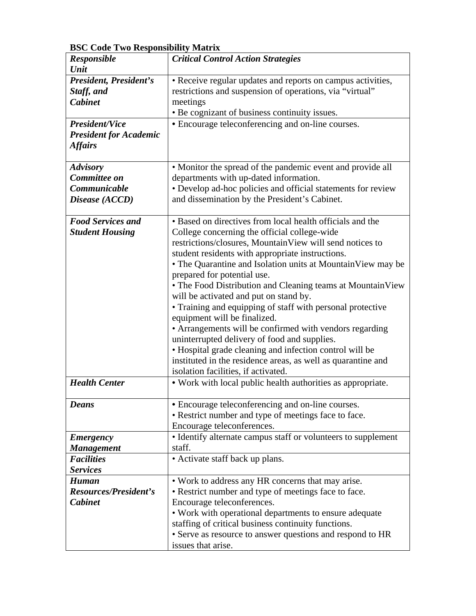| DDC Couc I wo Ixesponsionity matrix |                                                               |  |  |  |  |
|-------------------------------------|---------------------------------------------------------------|--|--|--|--|
| <b>Responsible</b>                  | <b>Critical Control Action Strategies</b>                     |  |  |  |  |
| Unit                                |                                                               |  |  |  |  |
| President, President's              | • Receive regular updates and reports on campus activities,   |  |  |  |  |
| Staff, and                          | restrictions and suspension of operations, via "virtual"      |  |  |  |  |
| <b>Cabinet</b>                      | meetings                                                      |  |  |  |  |
|                                     | • Be cognizant of business continuity issues.                 |  |  |  |  |
| <b>President/Vice</b>               | • Encourage teleconferencing and on-line courses.             |  |  |  |  |
| <b>President for Academic</b>       |                                                               |  |  |  |  |
| <b>Affairs</b>                      |                                                               |  |  |  |  |
|                                     |                                                               |  |  |  |  |
| <b>Advisory</b>                     | • Monitor the spread of the pandemic event and provide all    |  |  |  |  |
| Committee on                        | departments with up-dated information.                        |  |  |  |  |
| Communicable                        | • Develop ad-hoc policies and official statements for review  |  |  |  |  |
| Disease (ACCD)                      | and dissemination by the President's Cabinet.                 |  |  |  |  |
|                                     |                                                               |  |  |  |  |
| <b>Food Services and</b>            | • Based on directives from local health officials and the     |  |  |  |  |
| <b>Student Housing</b>              | College concerning the official college-wide                  |  |  |  |  |
|                                     | restrictions/closures, MountainView will send notices to      |  |  |  |  |
|                                     | student residents with appropriate instructions.              |  |  |  |  |
|                                     | • The Quarantine and Isolation units at Mountain View may be  |  |  |  |  |
|                                     | prepared for potential use.                                   |  |  |  |  |
|                                     | • The Food Distribution and Cleaning teams at Mountain View   |  |  |  |  |
|                                     | will be activated and put on stand by.                        |  |  |  |  |
|                                     |                                                               |  |  |  |  |
|                                     | • Training and equipping of staff with personal protective    |  |  |  |  |
|                                     | equipment will be finalized.                                  |  |  |  |  |
|                                     | • Arrangements will be confirmed with vendors regarding       |  |  |  |  |
|                                     | uninterrupted delivery of food and supplies.                  |  |  |  |  |
|                                     | • Hospital grade cleaning and infection control will be       |  |  |  |  |
|                                     | instituted in the residence areas, as well as quarantine and  |  |  |  |  |
|                                     | isolation facilities, if activated.                           |  |  |  |  |
| <b>Health Center</b>                | • Work with local public health authorities as appropriate.   |  |  |  |  |
|                                     |                                                               |  |  |  |  |
| <b>Deans</b>                        | • Encourage teleconferencing and on-line courses.             |  |  |  |  |
|                                     | • Restrict number and type of meetings face to face.          |  |  |  |  |
|                                     | Encourage teleconferences.                                    |  |  |  |  |
| <b>Emergency</b>                    | • Identify alternate campus staff or volunteers to supplement |  |  |  |  |
| <b>Management</b>                   | staff.                                                        |  |  |  |  |
| <b>Facilities</b>                   | • Activate staff back up plans.                               |  |  |  |  |
| <b>Services</b>                     |                                                               |  |  |  |  |
| <b>Human</b>                        | • Work to address any HR concerns that may arise.             |  |  |  |  |
| <b>Resources/President's</b>        | • Restrict number and type of meetings face to face.          |  |  |  |  |
| <b>Cabinet</b>                      | Encourage teleconferences.                                    |  |  |  |  |
|                                     | • Work with operational departments to ensure adequate        |  |  |  |  |
|                                     | staffing of critical business continuity functions.           |  |  |  |  |
|                                     |                                                               |  |  |  |  |
|                                     | • Serve as resource to answer questions and respond to HR     |  |  |  |  |
|                                     | issues that arise.                                            |  |  |  |  |

**BSC Code Two Responsibility Matrix**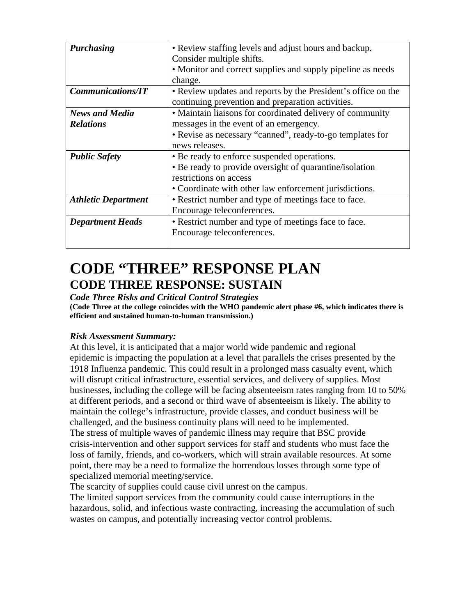<span id="page-17-0"></span>

| <b>Purchasing</b>          | • Review staffing levels and adjust hours and backup.         |  |  |  |  |
|----------------------------|---------------------------------------------------------------|--|--|--|--|
|                            | Consider multiple shifts.                                     |  |  |  |  |
|                            |                                                               |  |  |  |  |
|                            | • Monitor and correct supplies and supply pipeline as needs   |  |  |  |  |
|                            | change.                                                       |  |  |  |  |
| <b>Communications/IT</b>   | • Review updates and reports by the President's office on the |  |  |  |  |
|                            | continuing prevention and preparation activities.             |  |  |  |  |
| <b>News and Media</b>      | • Maintain liaisons for coordinated delivery of community     |  |  |  |  |
| <b>Relations</b>           | messages in the event of an emergency.                        |  |  |  |  |
|                            | • Revise as necessary "canned", ready-to-go templates for     |  |  |  |  |
|                            | news releases.                                                |  |  |  |  |
| <b>Public Safety</b>       | • Be ready to enforce suspended operations.                   |  |  |  |  |
|                            | • Be ready to provide oversight of quarantine/isolation       |  |  |  |  |
|                            | restrictions on access                                        |  |  |  |  |
|                            | • Coordinate with other law enforcement jurisdictions.        |  |  |  |  |
| <b>Athletic Department</b> | • Restrict number and type of meetings face to face.          |  |  |  |  |
|                            | Encourage teleconferences.                                    |  |  |  |  |
| <b>Department Heads</b>    | • Restrict number and type of meetings face to face.          |  |  |  |  |
|                            | Encourage teleconferences.                                    |  |  |  |  |
|                            |                                                               |  |  |  |  |

### **CODE "THREE" RESPONSE PLAN CODE THREE RESPONSE: SUSTAIN**

### *Code Three Risks and Critical Control Strategies*

**(Code Three at the college coincides with the WHO pandemic alert phase #6, which indicates there is efficient and sustained human-to-human transmission.)** 

### *Risk Assessment Summary:*

At this level, it is anticipated that a major world wide pandemic and regional epidemic is impacting the population at a level that parallels the crises presented by the 1918 Influenza pandemic. This could result in a prolonged mass casualty event, which will disrupt critical infrastructure, essential services, and delivery of supplies. Most businesses, including the college will be facing absenteeism rates ranging from 10 to 50% at different periods, and a second or third wave of absenteeism is likely. The ability to maintain the college's infrastructure, provide classes, and conduct business will be challenged, and the business continuity plans will need to be implemented. The stress of multiple waves of pandemic illness may require that BSC provide crisis-intervention and other support services for staff and students who must face the loss of family, friends, and co-workers, which will strain available resources. At some point, there may be a need to formalize the horrendous losses through some type of specialized memorial meeting/service.

The scarcity of supplies could cause civil unrest on the campus.

The limited support services from the community could cause interruptions in the hazardous, solid, and infectious waste contracting, increasing the accumulation of such wastes on campus, and potentially increasing vector control problems.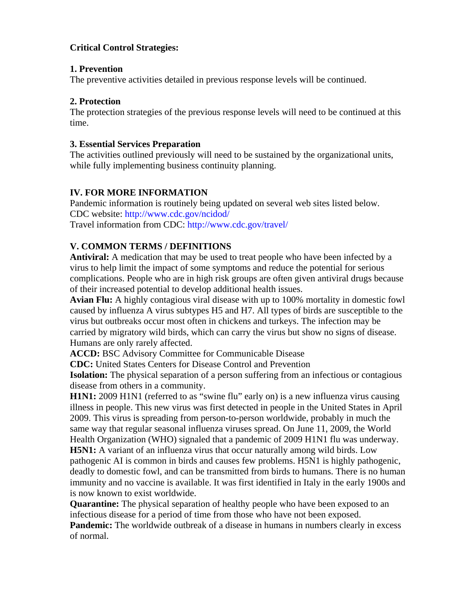### <span id="page-18-0"></span>**Critical Control Strategies:**

#### **1. Prevention**

The preventive activities detailed in previous response levels will be continued.

### **2. Protection**

The protection strategies of the previous response levels will need to be continued at this time.

### **3. Essential Services Preparation**

The activities outlined previously will need to be sustained by the organizational units, while fully implementing business continuity planning.

### **IV. FOR MORE INFORMATION**

Pandemic information is routinely being updated on several web sites listed below. CDC website: http://www.cdc.gov/ncidod/ Travel information from CDC: http://www.cdc.gov/travel/

### **V. COMMON TERMS / DEFINITIONS**

**Antiviral:** A medication that may be used to treat people who have been infected by a virus to help limit the impact of some symptoms and reduce the potential for serious complications. People who are in high risk groups are often given antiviral drugs because of their increased potential to develop additional health issues.

**Avian Flu:** A highly contagious viral disease with up to 100% mortality in domestic fowl caused by influenza A virus subtypes H5 and H7. All types of birds are susceptible to the virus but outbreaks occur most often in chickens and turkeys. The infection may be carried by migratory wild birds, which can carry the virus but show no signs of disease. Humans are only rarely affected.

**ACCD:** BSC Advisory Committee for Communicable Disease

**CDC:** United States Centers for Disease Control and Prevention

**Isolation:** The physical separation of a person suffering from an infectious or contagious disease from others in a community.

**H1N1:** 2009 H1N1 (referred to as "swine flu" early on) is a new influenza virus causing illness in people. This new virus was first detected in people in the United States in April 2009. This virus is spreading from person-to-person worldwide, probably in much the same way that regular seasonal influenza viruses spread. On June 11, 2009, the World Health Organization (WHO) signaled that a pandemic of 2009 H1N1 flu was underway. **H5N1:** A variant of an influenza virus that occur naturally among wild birds. Low pathogenic AI is common in birds and causes few problems. H5N1 is highly pathogenic, deadly to domestic fowl, and can be transmitted from birds to humans. There is no human immunity and no vaccine is available. It was first identified in Italy in the early 1900s and is now known to exist worldwide.

**Quarantine:** The physical separation of healthy people who have been exposed to an infectious disease for a period of time from those who have not been exposed.

**Pandemic:** The worldwide outbreak of a disease in humans in numbers clearly in excess of normal.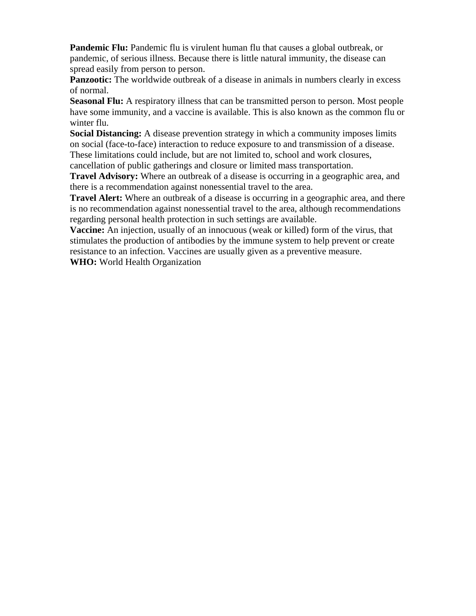**Pandemic Flu:** Pandemic flu is virulent human flu that causes a global outbreak, or pandemic, of serious illness. Because there is little natural immunity, the disease can spread easily from person to person.

**Panzootic:** The worldwide outbreak of a disease in animals in numbers clearly in excess of normal.

**Seasonal Flu:** A respiratory illness that can be transmitted person to person. Most people have some immunity, and a vaccine is available. This is also known as the common flu or winter flu.

**Social Distancing:** A disease prevention strategy in which a community imposes limits on social (face-to-face) interaction to reduce exposure to and transmission of a disease. These limitations could include, but are not limited to, school and work closures, cancellation of public gatherings and closure or limited mass transportation.

**Travel Advisory:** Where an outbreak of a disease is occurring in a geographic area, and there is a recommendation against nonessential travel to the area.

**Travel Alert:** Where an outbreak of a disease is occurring in a geographic area, and there is no recommendation against nonessential travel to the area, although recommendations regarding personal health protection in such settings are available.

**Vaccine:** An injection, usually of an innocuous (weak or killed) form of the virus, that stimulates the production of antibodies by the immune system to help prevent or create resistance to an infection. Vaccines are usually given as a preventive measure.

**WHO:** World Health Organization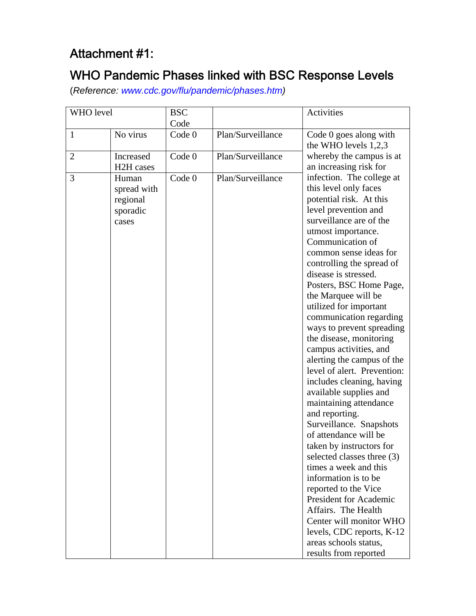### <span id="page-20-0"></span>Attachment #1:

### WHO Pandemic Phases linked with BSC Response Levels

(*Reference: www.cdc.gov/flu/pandemic/phases.htm)* 

| WHO level      |                                                       | <b>BSC</b>        |                   | Activities                                                                                                                                                                                                                                                                                                                                                                                                                                                                                                                                                                                                                                                                                                                                                                                                                                                                                                                                                           |
|----------------|-------------------------------------------------------|-------------------|-------------------|----------------------------------------------------------------------------------------------------------------------------------------------------------------------------------------------------------------------------------------------------------------------------------------------------------------------------------------------------------------------------------------------------------------------------------------------------------------------------------------------------------------------------------------------------------------------------------------------------------------------------------------------------------------------------------------------------------------------------------------------------------------------------------------------------------------------------------------------------------------------------------------------------------------------------------------------------------------------|
|                |                                                       | Code              |                   |                                                                                                                                                                                                                                                                                                                                                                                                                                                                                                                                                                                                                                                                                                                                                                                                                                                                                                                                                                      |
| $\mathbf{1}$   | No virus                                              | Code <sub>0</sub> | Plan/Surveillance | Code 0 goes along with<br>the WHO levels $1,2,3$                                                                                                                                                                                                                                                                                                                                                                                                                                                                                                                                                                                                                                                                                                                                                                                                                                                                                                                     |
| $\overline{2}$ | Increased<br>H <sub>2</sub> H cases                   | Code <sub>0</sub> | Plan/Surveillance | whereby the campus is at<br>an increasing risk for                                                                                                                                                                                                                                                                                                                                                                                                                                                                                                                                                                                                                                                                                                                                                                                                                                                                                                                   |
| 3              | Human<br>spread with<br>regional<br>sporadic<br>cases | Code 0            | Plan/Surveillance | infection. The college at<br>this level only faces<br>potential risk. At this<br>level prevention and<br>surveillance are of the<br>utmost importance.<br>Communication of<br>common sense ideas for<br>controlling the spread of<br>disease is stressed.<br>Posters, BSC Home Page,<br>the Marquee will be<br>utilized for important<br>communication regarding<br>ways to prevent spreading<br>the disease, monitoring<br>campus activities, and<br>alerting the campus of the<br>level of alert. Prevention:<br>includes cleaning, having<br>available supplies and<br>maintaining attendance<br>and reporting.<br>Surveillance. Snapshots<br>of attendance will be<br>taken by instructors for<br>selected classes three (3)<br>times a week and this<br>information is to be<br>reported to the Vice<br>President for Academic<br>Affairs. The Health<br>Center will monitor WHO<br>levels, CDC reports, K-12<br>areas schools status,<br>results from reported |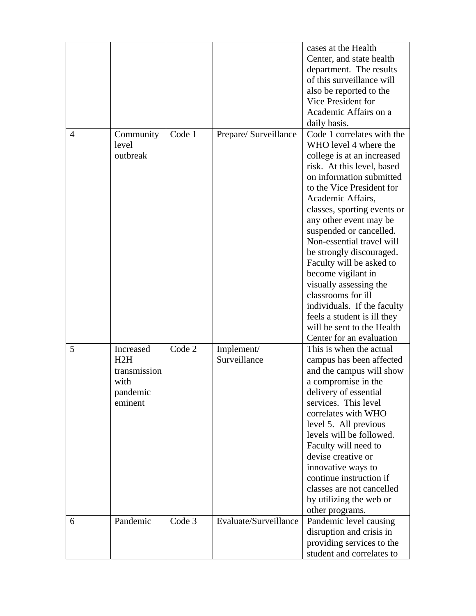|                |                                                                 |        |                            | cases at the Health<br>Center, and state health<br>department. The results<br>of this surveillance will<br>also be reported to the                                                                                                                                                                                                                                                                                                                                                                                                                                   |
|----------------|-----------------------------------------------------------------|--------|----------------------------|----------------------------------------------------------------------------------------------------------------------------------------------------------------------------------------------------------------------------------------------------------------------------------------------------------------------------------------------------------------------------------------------------------------------------------------------------------------------------------------------------------------------------------------------------------------------|
|                |                                                                 |        |                            | Vice President for<br>Academic Affairs on a<br>daily basis.                                                                                                                                                                                                                                                                                                                                                                                                                                                                                                          |
| $\overline{A}$ | Community<br>level<br>outbreak                                  | Code 1 | Prepare/ Surveillance      | Code 1 correlates with the<br>WHO level 4 where the<br>college is at an increased<br>risk. At this level, based<br>on information submitted<br>to the Vice President for<br>Academic Affairs,<br>classes, sporting events or<br>any other event may be<br>suspended or cancelled.<br>Non-essential travel will<br>be strongly discouraged.<br>Faculty will be asked to<br>become vigilant in<br>visually assessing the<br>classrooms for ill<br>individuals. If the faculty<br>feels a student is ill they<br>will be sent to the Health<br>Center for an evaluation |
| 5              | Increased<br>H2H<br>transmission<br>with<br>pandemic<br>eminent | Code 2 | Implement/<br>Surveillance | This is when the actual<br>campus has been affected<br>and the campus will show<br>a compromise in the<br>delivery of essential<br>services. This level<br>correlates with WHO<br>level 5. All previous<br>levels will be followed.<br>Faculty will need to<br>devise creative or<br>innovative ways to<br>continue instruction if<br>classes are not cancelled<br>by utilizing the web or<br>other programs.                                                                                                                                                        |
| 6              | Pandemic                                                        | Code 3 | Evaluate/Surveillance      | Pandemic level causing<br>disruption and crisis in<br>providing services to the<br>student and correlates to                                                                                                                                                                                                                                                                                                                                                                                                                                                         |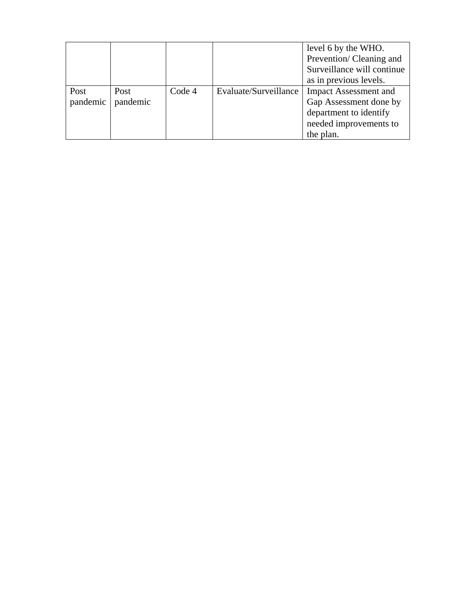|          |          |        |                       | level 6 by the WHO.          |
|----------|----------|--------|-----------------------|------------------------------|
|          |          |        |                       | Prevention/Cleaning and      |
|          |          |        |                       | Surveillance will continue   |
|          |          |        |                       | as in previous levels.       |
| Post     | Post     | Code 4 | Evaluate/Surveillance | <b>Impact Assessment and</b> |
| pandemic | pandemic |        |                       | Gap Assessment done by       |
|          |          |        |                       | department to identify       |
|          |          |        |                       | needed improvements to       |
|          |          |        |                       | the plan.                    |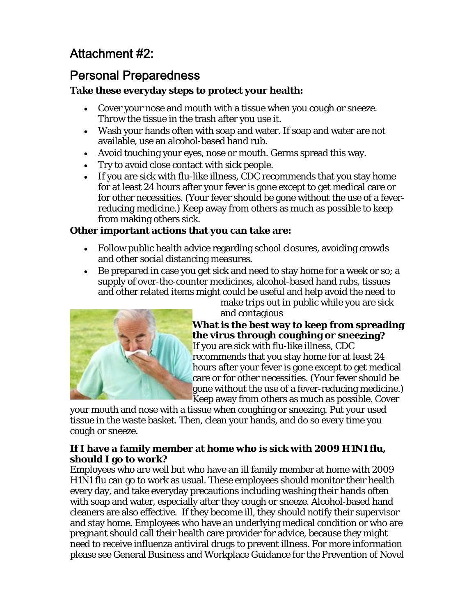### <span id="page-23-0"></span>Attachment #2:

### Personal Preparedness

### **Take these everyday steps to protect your health:**

- Cover your nose and mouth with a tissue when you cough or sneeze. Throw the tissue in the trash after you use it.
- Wash your hands often with soap and water. If soap and water are not available, use an alcohol-based hand rub.
- Avoid touching your eyes, nose or mouth. Germs spread this way.
- Try to avoid close contact with sick people.
- If you are sick with flu-like illness, CDC recommends that you stay home for at least 24 hours after your fever is gone except to get medical care or for other necessities. (Your fever should be gone without the use of a feverreducing medicine.) Keep away from others as much as possible to keep from making others sick.

### **Other important actions that you can take are:**

- Follow public health advice regarding school closures, avoiding crowds and other social distancing measures.
- Be prepared in case you get sick and need to stay home for a week or so; a supply of over-the-counter medicines, alcohol-based hand rubs, tissues and other related items might could be useful and help avoid the need to

make trips out in public while you are sick and contagious



**ing What is the best way to keep from spread zing? the virus through coughing or snee** gone without the use of a fever-reducing medicine.) If you are sick with flu-like illness, CDC recommends that you stay home for at least 24 hours after your fever is gone except to get medical care or for other necessities. (Your fever should be

tissue in the waste basket. Then, clean your hands, and do so every time you Keep away from others as much as possible. Cover your mouth and nose with a tissue when coughing or sneezing. Put your used cough or sneeze.

### If I have a family member at home who is sick with 2009 H1N1 flu, **should I go to work?**

and stay home. Employees who have an underlying medical condition or who are please see General Business and Workplace Guidance for the Prevention of Novel Employees who are well but who have an ill family member at home with 2009 H1N1 flu can go to work as usual. These employees should monitor their health every day, and take everyday precautions including washing their hands often with soap and water, especially after they cough or sneeze. Alcohol-based hand cleaners are also effective. If they become ill, they should notify their supervisor pregnant should call their health care provider for advice, because they might need to receive influenza antiviral drugs to prevent illness. For more information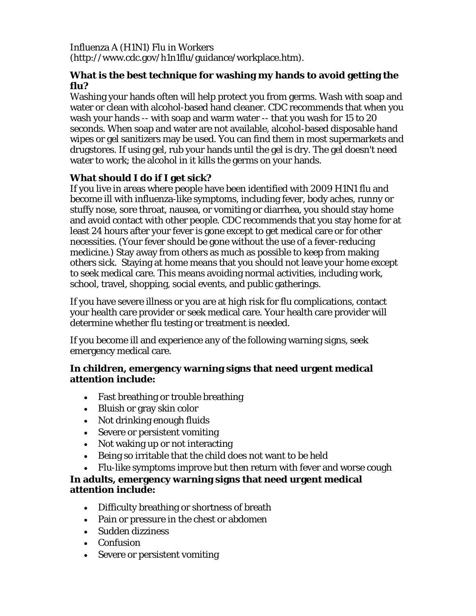Influenza A (H1N1) Flu in Workers (http://www.cdc.gov/h1n1flu/guidance/workplace.htm).

### **What is the best technique for washing my hands to avoid getting the flu?**

Washing your hands often will help protect you from germs. Wash with soap and water or clean with alcohol-based hand cleaner. CDC recommends that when you wash your hands -- with soap and warm water -- that you wash for 15 to 20 seconds. When soap and water are not available, alcohol-based disposable hand wipes or gel sanitizers may be used. You can find them in most supermarkets and drugstores. If using gel, rub your hands until the gel is dry. The gel doesn't need water to work; the alcohol in it kills the germs on your hands.

### **What should I do if I get sick?**

If you live in areas where people have been identified with 2009 H1N1 flu and become ill with influenza-like symptoms, including fever, body aches, runny or stuffy nose, sore throat, nausea, or vomiting or diarrhea, you should stay home and avoid contact with other people. CDC recommends that you stay home for at least 24 hours after your fever is gone except to get medical care or for other necessities. (Your fever should be gone without the use of a fever-reducing medicine.) Stay away from others as much as possible to keep from making others sick. Staying at home means that you should not leave your home except to seek medical care. This means avoiding normal activities, including work, school, travel, shopping, social events, and public gatherings.

If you have severe illness or you are at high risk for flu complications, contact your health care provider or seek medical care. Your health care provider will determine whether flu testing or treatment is needed.

If you become ill and experience any of the following warning signs, seek emergency medical care.

### **In children, emergency warning signs that need urgent medical attention include:**

- Fast breathing or trouble breathing
- Bluish or gray skin color
- Not drinking enough fluids
- Severe or persistent vomiting
- Not waking up or not interacting
- Being so irritable that the child does not want to be held
- Flu-like symptoms improve but then return with fever and worse cough

**In adults, emergency warning signs that need urgent medical attention include:**

- Difficulty breathing or shortness of breath
- Pain or pressure in the chest or abdomen
- Sudden dizziness
- Confusion
- Severe or persistent vomiting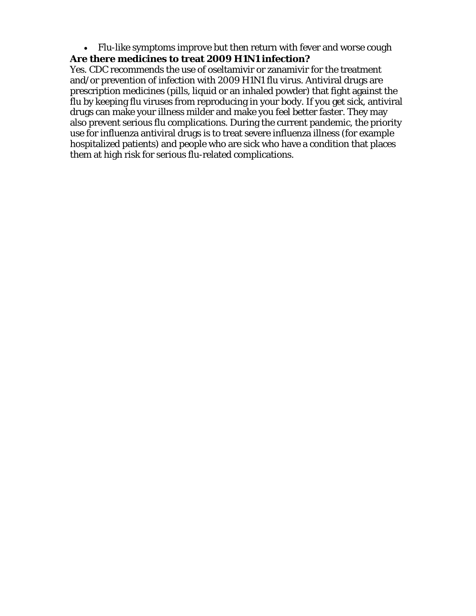• Flu-like symptoms improve but then return with fever and worse cough

### **Are there medicines to treat 2009 H1N1 infection?**

Yes. CDC recommends the use of oseltamivir or zanamivir for the treatment and/or prevention of infection with 2009 H1N1 flu virus. Antiviral drugs are prescription medicines (pills, liquid or an inhaled powder) that fight against the flu by keeping flu viruses from reproducing in your body. If you get sick, antiviral drugs can make your illness milder and make you feel better faster. They may also prevent serious flu complications. During the current pandemic, the priority use for influenza antiviral drugs is to treat severe influenza illness (for example hospitalized patients) and people who are sick who have a condition that places them at high risk for serious flu-related complications.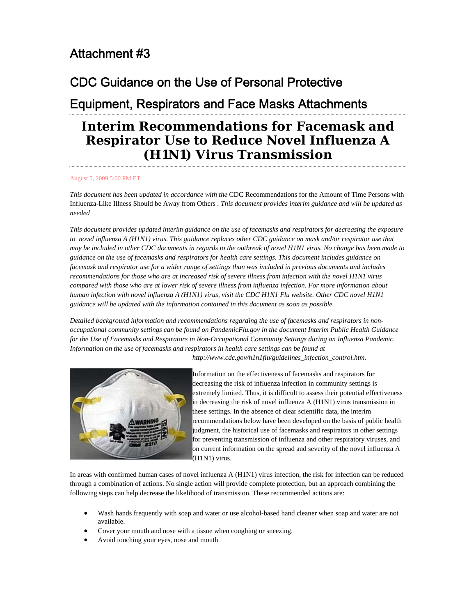### <span id="page-26-0"></span>Attachment #3

### CDC Guidance on the Use of Personal Protective

### Equipment, Respirators and Face Masks Attachments

### **Interim Recommendations for Facemask and Respirator Use to Reduce Novel Influenza A (H1N1) Virus Transmission**

#### August 5, 2009 5:00 PM ET

*This document has been updated in accordance with the* CDC Recommendations for the Amount of Time Persons with Influenza-Like Illness Should be Away from Others *. This document provides interim guidance and will be updated as needed*

*This document provides updated interim guidance on the use of facemasks and respirators for decreasing the exposure to novel influenza A (H1N1) virus. This guidance replaces other CDC guidance on mask and/or respirator use that may be included in other CDC documents in regards to the outbreak of novel H1N1 virus. No change has been made to guidance on the use of facemasks and respirators for health care settings. This document includes guidance on facemask and respirator use for a wider range of settings than was included in previous documents and includes recommendations for those who are at increased risk of severe illness from infection with the novel H1N1 virus compared with those who are at lower risk of severe illness from influenza infection. For more information about human infection with novel influenza A (H1N1) virus, visit the CDC H1N1 Flu website. Other CDC novel H1N1 guidance will be updated with the information contained in this document as soon as possible.*

*Detailed background information and recommendations regarding the use of facemasks and respirators in nonoccupational community settings can be found on PandemicFlu.gov in the document Interim Public Health Guidance for the Use of Facemasks and Respirators in Non-Occupational Community Settings during an Influenza Pandemic.*  Information on the use of facemasks and respirators in health care settings can be found at

*http://www.cdc.gov/h1n1flu/guidelines\_infection\_control.htm.*



Information on the effectiveness of facemasks and respirators for decreasing the risk of influenza infection in community settings is extremely limited. Thus, it is difficult to assess their potential effectiveness in decreasing the risk of novel influenza A (H1N1) virus transmission in these settings. In the absence of clear scientific data, the interim recommendations below have been developed on the basis of public health judgment, the historical use of facemasks and respirators in other settings for preventing transmission of influenza and other respiratory viruses, and on current information on the spread and severity of the novel influenza A (H1N1) virus.

In areas with confirmed human cases of novel influenza A (H1N1) virus infection, the risk for infection can be reduced through a combination of actions. No single action will provide complete protection, but an approach combining the following steps can help decrease the likelihood of transmission. These recommended actions are:

- Wash hands frequently with soap and water or use alcohol-based hand cleaner when soap and water are not available.
- Cover your mouth and nose with a tissue when coughing or sneezing.
- Avoid touching your eyes, nose and mouth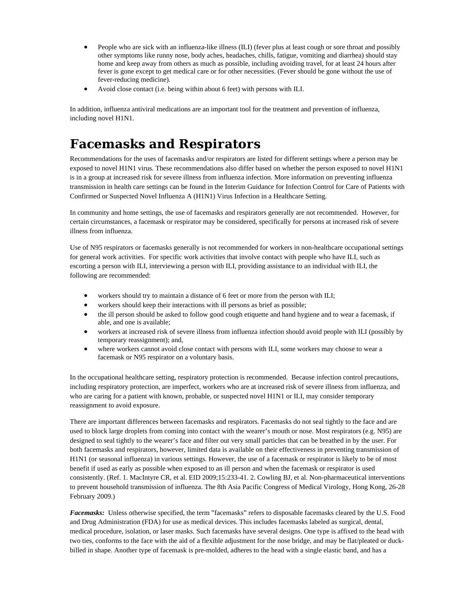- People who are sick with an influenza-like illness (ILI) (fever plus at least cough or sore throat and possibly other symptoms like runny nose, body aches, headaches, chills, fatigue, vomiting and diarrhea) should stay home and keep away from others as much as possible, including avoiding travel, for at least 24 hours after fever is gone except to get medical care or for other necessities. (Fever should be gone without the use of fever-reducing medicine).
- Avoid close contact (i.e. being within about 6 feet) with persons with ILI.

In addition, influenza antiviral medications are an important tool for the treatment and prevention of influenza, including novel H1N1.

### **Facemasks and Respirators**

Recommendations for the uses of facemasks and/or respirators are listed for different settings where a person may be exposed to novel H1N1 virus. These recommendations also differ based on whether the person exposed to novel H1N1 is in a group at increased risk for severe illness from influenza infection. More information on preventing influenza transmission in health care settings can be found in the Interim Guidance for Infection Control for Care of Patients with Confirmed or Suspected Novel Influenza A (H1N1) Virus Infection in a Healthcare Setting.

In community and home settings, the use of facemasks and respirators generally are not recommended. However, for certain circumstances, a facemask or respirator may be considered, specifically for persons at increased risk of severe illness from influenza.

Use of N95 respirators or facemasks generally is not recommended for workers in non-healthcare occupational settings for general work activities. For specific work activities that involve contact with people who have ILI, such as escorting a person with ILI, interviewing a person with ILI, providing assistance to an individual with ILI, the following are recommended:

- workers should try to maintain a distance of 6 feet or more from the person with ILI;
- workers should keep their interactions with ill persons as brief as possible;
- the ill person should be asked to follow good cough etiquette and hand hygiene and to wear a facemask, if able, and one is available;
- workers at increased risk of severe illness from influenza infection should avoid people with ILI (possibly by temporary reassignment); and,
- where workers cannot avoid close contact with persons with ILI, some workers may choose to wear a facemask or N95 respirator on a voluntary basis.

In the occupational healthcare setting, respiratory protection is recommended. Because infection control precautions, including respiratory protection, are imperfect, workers who are at increased risk of severe illness from influenza, and who are caring for a patient with known, probable, or suspected novel H1N1 or ILI, may consider temporary reassignment to avoid exposure.

There are important differences between facemasks and respirators. Facemasks do not seal tightly to the face and are used to block large droplets from coming into contact with the wearer's mouth or nose. Most respirators (e.g. N95) are designed to seal tightly to the wearer's face and filter out very small particles that can be breathed in by the user. For both facemasks and respirators, however, limited data is available on their effectiveness in preventing transmission of H1N1 (or seasonal influenza) in various settings. However, the use of a facemask or respirator is likely to be of most benefit if used as early as possible when exposed to an ill person and when the facemask or respirator is used consistently. (Ref. 1. MacIntyre CR, et al. EID 2009;15:233-41. 2. Cowling BJ, et al. Non-pharmaceutical interventions to prevent household transmission of influenza. The 8th Asia Pacific Congress of Medical Virology, Hong Kong, 26-28 February 2009.)

*Facemasks:* Unless otherwise specified, the term "facemasks" refers to disposable facemasks cleared by the U.S. Food and Drug Administration (FDA) for use as medical devices. This includes facemasks labeled as surgical, dental, medical procedure, isolation, or laser masks. Such facemasks have several designs. One type is affixed to the head with two ties, conforms to the face with the aid of a flexible adjustment for the nose bridge, and may be flat/pleated or duckbilled in shape. Another type of facemask is pre-molded, adheres to the head with a single elastic band, and has a